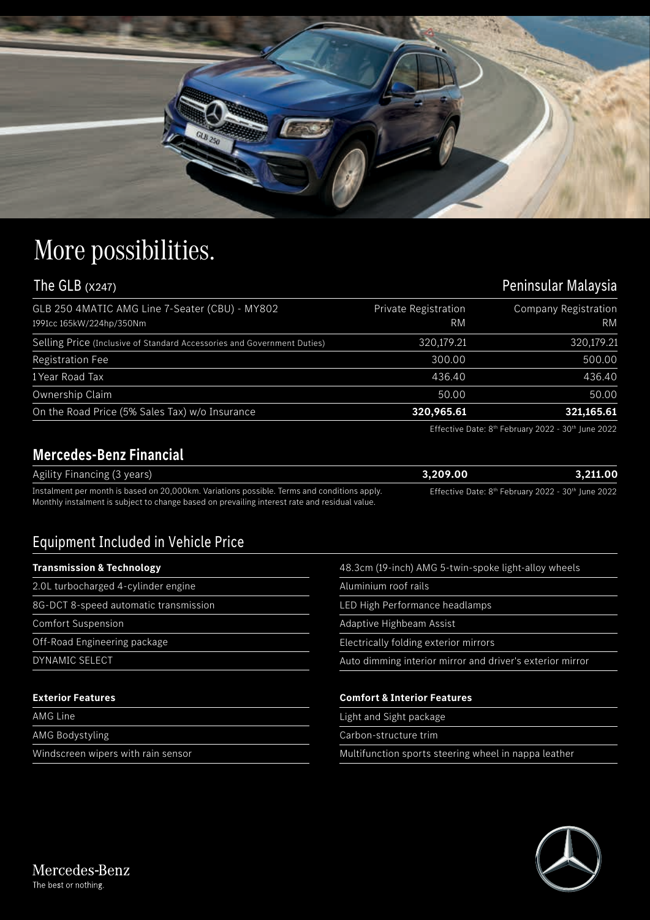

## More possibilities.

## The GLB (x247) **Peninsular Malaysia**

| GLB 250 4MATIC AMG Line 7-Seater (CBU) - MY802<br>1991cc 165kW/224hp/350Nm | Private Registration<br>RM | Company Registration<br><b>RM</b> |
|----------------------------------------------------------------------------|----------------------------|-----------------------------------|
|                                                                            |                            |                                   |
| Selling Price (Inclusive of Standard Accessories and Government Duties)    | 320,179.21                 | 320,179.21                        |
| <b>Registration Fee</b>                                                    | 300.00                     | 500.00                            |
| 1 Year Road Tax                                                            | 436.40                     | 436.40                            |
| Ownership Claim                                                            | 50.00                      | 50.00                             |
| On the Road Price (5% Sales Tax) w/o Insurance                             | 320,965.61                 | 321,165.61                        |

Effective Date: 8<sup>th</sup> February 2022 - 30<sup>th</sup> June 2022

## **Mercedes-Benz Financial**

| Agility Financing (3 years)                                                                   | 3.209.00                                                                   | 3.211.00 |
|-----------------------------------------------------------------------------------------------|----------------------------------------------------------------------------|----------|
| Instalment per month is based on 20,000km. Variations possible. Terms and conditions apply.   | Effective Date: 8 <sup>th</sup> February 2022 - 30 <sup>th</sup> June 2022 |          |
| Monthly instalment is subject to change based on prevailing interest rate and residual value. |                                                                            |          |

## Equipment Included in Vehicle Price

| <b>Transmission &amp; Technology</b>  | 48.3cm (19-inch) AMG 5-twin-spoke light-alloy wheels      |  |
|---------------------------------------|-----------------------------------------------------------|--|
| 2.0L turbocharged 4-cylinder engine   | Aluminium roof rails                                      |  |
| 8G-DCT 8-speed automatic transmission | LED High Performance headlamps                            |  |
| <b>Comfort Suspension</b>             | Adaptive Highbeam Assist                                  |  |
| Off-Road Engineering package          | Electrically folding exterior mirrors                     |  |
| DYNAMIC SELECT                        | Auto dimming interior mirror and driver's exterior mirror |  |
|                                       |                                                           |  |
| <b>Exterior Features</b>              | <b>Comfort &amp; Interior Features</b>                    |  |
| <b>AMG Line</b>                       | Light and Sight package                                   |  |
| <b>AMG Bodystyling</b>                | Carbon-structure trim                                     |  |
| Windscreen wipers with rain sensor    | Multifunction sports steering wheel in nappa leather      |  |